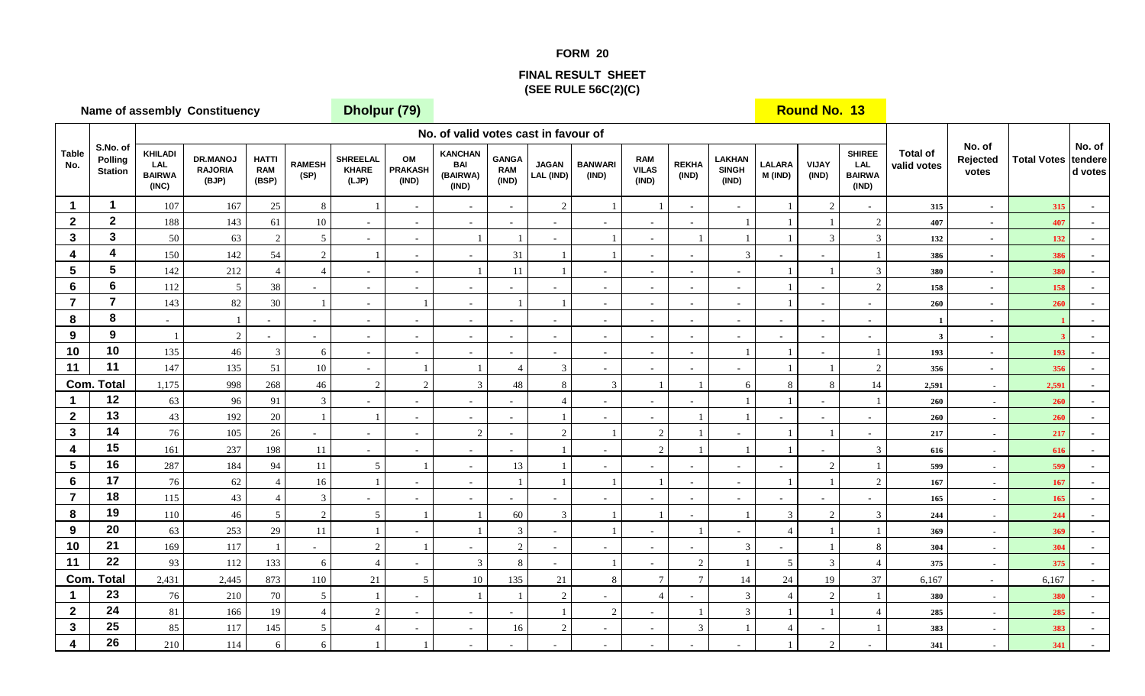## **FORM 20**

## **FINAL RESULT SHEET(SEE RULE 56C(2)(C)**

|                         |                                       |                                                 | Name of assembly Constituency              |                                     |                       | Dholpur (79)                      |                               |                                                   |                                     |                           | $\sim$ $\sim$ $\sim$     |                                     |                          |                                        |                          | <b>Round No. 13</b>      |                                                       |                                |                             |                    |                              |
|-------------------------|---------------------------------------|-------------------------------------------------|--------------------------------------------|-------------------------------------|-----------------------|-----------------------------------|-------------------------------|---------------------------------------------------|-------------------------------------|---------------------------|--------------------------|-------------------------------------|--------------------------|----------------------------------------|--------------------------|--------------------------|-------------------------------------------------------|--------------------------------|-----------------------------|--------------------|------------------------------|
|                         |                                       |                                                 |                                            |                                     |                       |                                   |                               | No. of valid votes cast in favour of              |                                     |                           |                          |                                     |                          |                                        |                          |                          |                                                       |                                |                             |                    |                              |
| <b>Table</b><br>No.     | S.No. of<br>Polling<br><b>Station</b> | <b>KHILADI</b><br>LAL<br><b>BAIRWA</b><br>(INC) | <b>DR.MANOJ</b><br><b>RAJORIA</b><br>(BJP) | <b>HATTI</b><br><b>RAM</b><br>(BSP) | <b>RAMESH</b><br>(SP) | <b>SHREELAL</b><br>KHARE<br>(LJP) | OM<br><b>PRAKASH</b><br>(IND) | <b>KANCHAN</b><br><b>BAI</b><br>(BAIRWA)<br>(IND) | <b>GANGA</b><br><b>RAM</b><br>(IND) | <b>JAGAN</b><br>LAL (IND) | <b>BANWARI</b><br>(IND)  | <b>RAM</b><br><b>VILAS</b><br>(IND) | <b>REKHA</b><br>(IND)    | <b>LAKHAN</b><br><b>SINGH</b><br>(IND) | <b>LALARA</b><br>M (IND) | <b>VIJAY</b><br>(IND)    | <b>SHIREE</b><br><b>LAL</b><br><b>BAIRWA</b><br>(IND) | <b>Total of</b><br>valid votes | No. of<br>Rejected<br>votes | <b>Total Votes</b> | No. of<br>tendere<br>d votes |
| $\blacktriangleleft$    | $\mathbf{1}$                          | 107                                             | 167                                        | $25\,$                              | 8                     |                                   | $\sim$                        | $\overline{\phantom{a}}$                          | $\sim$                              | $\overline{c}$            | $\overline{1}$           |                                     | $\sim$                   | $\sim$                                 |                          | 2                        |                                                       | 315                            | $\sim$                      | 315                |                              |
| $\mathbf{2}$            | $\overline{2}$                        | 188                                             | 143                                        | 61                                  | $10\,$                | $\sim$                            | $\equiv$                      | $\sim$                                            | $\sim$                              | $\sim$                    |                          | $\sim$                              |                          |                                        |                          |                          | 2                                                     | 407                            | $\sim$                      | 407                |                              |
| $\mathbf{3}$            | $\mathbf{3}$                          | 50                                              | 63                                         | $\mathfrak{D}$                      | $5\overline{)}$       | $\sim$                            | $\blacksquare$                |                                                   |                                     | $\blacksquare$            |                          | $\sim$                              |                          |                                        |                          | $\mathfrak{Z}$           | $\mathfrak{Z}$                                        | 132                            | $\sim$                      | 132                |                              |
| 4                       | $\overline{\mathbf{4}}$               | 150                                             | 142                                        | 54                                  | $\overline{2}$        | $\overline{1}$                    | $\sim$                        | $\sim$                                            | 31                                  |                           |                          | $\sim$                              | $\sim$                   | 3                                      |                          | $\blacksquare$           |                                                       | 386                            | $\sim$                      | 386                |                              |
| $5\phantom{.0}$         | $5\phantom{1}$                        | 142                                             | 212                                        | $\Delta$                            | $\overline{4}$        | $\sim$                            | $\sim$                        |                                                   | 11                                  |                           |                          | $\sim$                              | $\sim$                   | $\sim$                                 |                          |                          | 3                                                     | 380                            | $\sim$                      | 380                | $\sim$                       |
| 6                       | $6\phantom{a}$                        | 112                                             | 5                                          | 38                                  | $\blacksquare$        | $\sim$                            | $\blacksquare$                |                                                   |                                     |                           |                          | $\sim$                              | $\overline{\phantom{a}}$ | $\sim$                                 |                          |                          | 2                                                     | 158                            | $\sim$                      | 158                |                              |
| $\overline{7}$          | $\overline{7}$                        | 143                                             | 82                                         | 30                                  | $\overline{1}$        | $\sim$                            |                               | $\sim$                                            |                                     |                           | $\sim$                   | $\sim$                              | $\sim$                   | $\sim$                                 |                          | $\sim$                   | $\sim$                                                | 260                            | $\sim$                      | 260                |                              |
| 8                       | 8                                     | $\sim$                                          |                                            | $\mathbf{r}$                        | $\sim$                | $\sim$                            | $\equiv$                      | $\sim$                                            | $\sim$                              | $\sim$                    | $\sim$                   | $\sim$                              | $\sim$                   | $\sim$                                 |                          | $\omega$                 |                                                       |                                | $\sim$                      |                    |                              |
| 9                       | 9                                     | $\overline{1}$                                  | $\sqrt{2}$                                 | $\sim$                              | $\sim$                | $\sim$                            | $\blacksquare$                | $\overline{\phantom{a}}$                          | $\sim$                              | $\sim$                    | $\overline{\phantom{a}}$ | $\sim$                              | $\omega$                 | $\sim$                                 |                          | $\overline{\phantom{a}}$ |                                                       | 3                              | $\sim$                      |                    |                              |
| 10                      | 10                                    | 135                                             | 46                                         | 3                                   | 6                     | $\sim$                            | $\sim$                        | $\sim$                                            | $\sim$                              | $\sim$                    | $\sim$                   | $\sim$                              | $\sim$                   |                                        |                          | $\overline{\phantom{a}}$ |                                                       | 193                            | $\sim$                      | 193                | $\sim$                       |
| 11                      | 11                                    | 147                                             | 135                                        | 51                                  | $10\,$                | $\sim$                            | $\mathbf{1}$                  |                                                   | $\overline{4}$                      | $\mathfrak{Z}$            | $\sim$                   | $\sim$                              | $\sim$                   | $\sim$                                 |                          |                          | $\overline{2}$                                        | 356                            | $\sim$                      | 356                |                              |
| Com.                    | <b>Total</b>                          | 1,175                                           | 998                                        | 268                                 | $46\,$                | $\overline{2}$                    | $\overline{2}$                | $\overline{3}$                                    | 48                                  | 8                         | $\overline{3}$           |                                     |                          | 6                                      | 8                        | $\,8\,$                  | 14                                                    | 2,591                          | $\overline{\phantom{a}}$    | 2,591              |                              |
| 1                       | 12                                    | 63                                              | 96                                         | 91                                  | $\mathfrak{Z}$        | $\sim$                            | $\sim$                        | $\sim$                                            | $\overline{a}$                      | $\overline{4}$            | $\sim$                   | $\sim$                              | $\sim$                   |                                        |                          | $\sim$                   |                                                       | 260                            | $\sim$                      | 260                |                              |
| $\mathbf{2}$            | 13                                    | 43                                              | 192                                        | $20\,$                              | $\overline{1}$        | $\overline{1}$                    | $\sim$                        | $\sim$                                            | $\sim$                              |                           | $\sim$                   | $\sim$                              | $\overline{1}$           |                                        |                          | $\sim$                   |                                                       | 260                            | $\sim$                      | 260                |                              |
| $\mathbf{3}$            | 14                                    | $76\,$                                          | 105                                        | 26                                  | $\sim$                | $\sim$                            | $\blacksquare$                | $\overline{2}$                                    | $\sim$                              | $\overline{c}$            |                          | $\overline{2}$                      |                          | $\overline{\phantom{a}}$               |                          |                          | $\sim$                                                | 217                            | $\sim$                      | 217                |                              |
| 4                       | 15                                    | 161                                             | 237                                        | 198                                 | 11                    | $\sim$                            | $\omega$                      | $\overline{\phantom{a}}$                          | $\sim$                              |                           | $\sim$                   | $\overline{2}$                      | $\overline{1}$           |                                        |                          | $\overline{\phantom{a}}$ | 3                                                     | 616                            | $\sim$                      | 616                | $\sim$                       |
| $5\phantom{.0}$         | 16                                    | 287                                             | 184                                        | 94                                  | 11                    | 5 <sup>5</sup>                    | $\overline{1}$                | $\sim$                                            | 13                                  |                           | $\sim$                   | $\sim$                              | $\sim$                   | $\omega$                               | $\sim$                   | 2                        |                                                       | 599                            | $\sim$                      | 599                | $\sim$                       |
| 6                       | 17                                    | 76                                              | 62                                         |                                     | 16                    |                                   |                               | $\overline{\phantom{a}}$                          |                                     |                           |                          |                                     | $\sim$                   | $\sim$                                 |                          |                          | 2                                                     | 167                            | $\sim$                      | 167                |                              |
| $\overline{7}$          | 18                                    | 115                                             | 43                                         |                                     | $\mathfrak{Z}$        | $\sim$                            | $\omega$                      | $\sim$                                            |                                     | $\sim$                    |                          | $\sim$                              | $\omega$                 | $\sim$                                 |                          | $\overline{\phantom{a}}$ |                                                       | 165                            | $\sim$                      | 165                |                              |
| 8                       | 19                                    | 110                                             | $46\,$                                     | $\overline{5}$                      | $\overline{2}$        | $\overline{5}$                    |                               |                                                   | 60                                  | $\mathbf{3}$              |                          |                                     | $\sim$                   |                                        | 3                        | 2                        | 3                                                     | 244                            | $\sim$                      | 244                |                              |
| 9                       | 20                                    | 63                                              | 253                                        | 29                                  | 11                    |                                   | ÷.                            |                                                   | 3                                   | $\blacksquare$            |                          | $\sim$                              |                          | $\overline{\phantom{a}}$               | $\overline{A}$           |                          |                                                       | 369                            | $\sim$                      | 369                |                              |
| 10                      | 21                                    | 169                                             | 117                                        |                                     | $\blacksquare$        | $\overline{2}$                    |                               | $\sim$                                            | $\overline{2}$                      | $\sim$                    | $\sim$                   | $\sim$                              | $\omega$                 | 3                                      | $\blacksquare$           |                          | 8                                                     | 304                            | $\sim$                      | 304                | $\sim$                       |
| 11                      | 22                                    | 93                                              | 112                                        | 133                                 | 6                     | $\overline{4}$                    | $\sim$                        | 3                                                 | 8                                   | ÷.                        | $\overline{1}$           | $\sim$                              | 2                        |                                        | $\mathfrak{S}$           | 3                        | $\overline{4}$                                        | 375                            | $\sim$                      | 375                |                              |
|                         | <b>Com. Total</b>                     | 2,431                                           | 2,445                                      | 873                                 | 110                   | 21                                | $\mathfrak{S}$                | $10\,$                                            | 135                                 | 21                        | $\,8\,$                  | $\overline{7}$                      | $\overline{7}$           | 14                                     | $24\,$                   | 19                       | 37                                                    | 6,167                          | $\sim$                      | 6,167              |                              |
| 1                       | 23                                    | 76                                              | 210                                        | $70\,$                              | $\mathfrak{S}$        |                                   | $\omega$                      |                                                   |                                     | $\overline{c}$            |                          | $\overline{4}$                      |                          | $\overline{3}$                         | $\overline{A}$           | $\overline{2}$           |                                                       | 380                            | $\sim$                      | 380                |                              |
| $\mathbf{2}$            | 24                                    | $81\,$                                          | 166                                        | 19                                  | $\overline{4}$        | 2                                 | $\overline{\phantom{a}}$      | $\sim$                                            | $\sim$                              |                           | 2                        | $\sim$                              |                          | $\mathcal{R}$                          |                          |                          |                                                       | 285                            | $\overline{\phantom{a}}$    | 285                |                              |
| $\mathbf{3}$            | 25                                    | 85                                              | 117                                        | 145                                 | $\overline{5}$        | $\overline{4}$                    | $\sim$                        | $\sim$                                            | 16                                  | $\overline{2}$            | $\sim$                   | $\sim$                              | 3                        |                                        | $\overline{4}$           | ٠                        |                                                       | 383                            | $\sim$                      | 383                | $\sim$                       |
| $\overline{\mathbf{4}}$ | 26                                    | 210                                             | 114                                        | 6                                   | 6                     |                                   |                               |                                                   |                                     |                           |                          |                                     |                          |                                        |                          | 2                        |                                                       | 341                            | $\overline{\phantom{a}}$    | 341                |                              |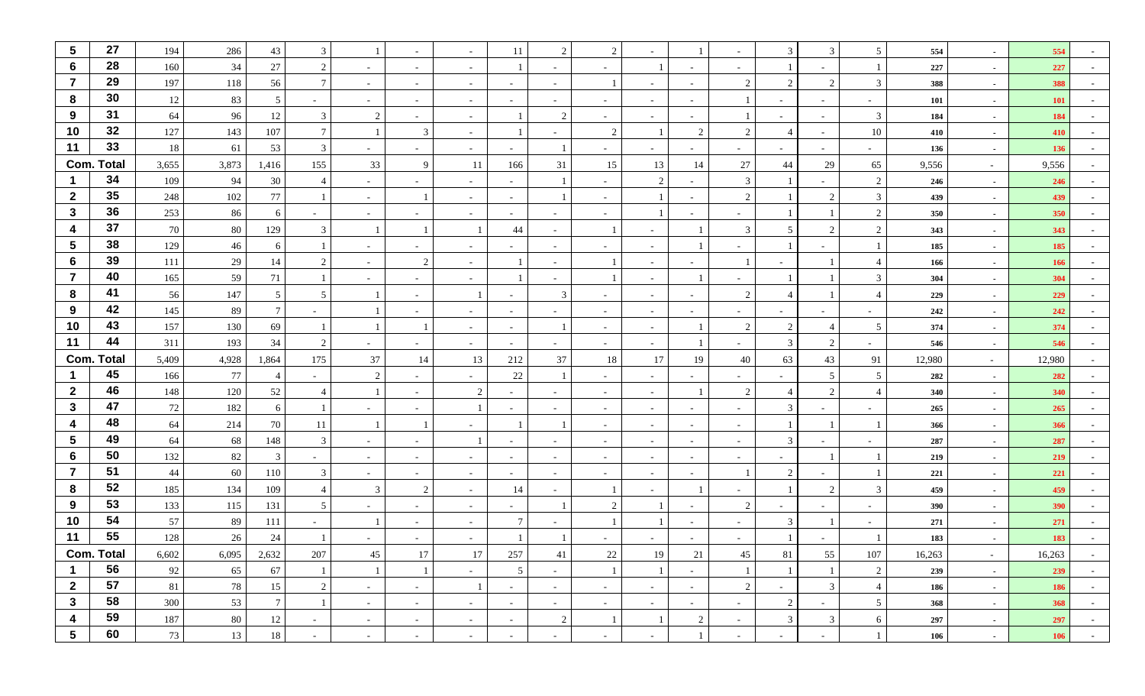| $5\phantom{.0}$         | 27                | 194      | 286        | 43              | 3                    |        |                          |                          | 11                       | 2                        | $\overline{2}$           |                  |                | $\sim$                   | 3              | 3              | $5\overline{)}$          | 554        | $\sim$                   | 554        |        |
|-------------------------|-------------------|----------|------------|-----------------|----------------------|--------|--------------------------|--------------------------|--------------------------|--------------------------|--------------------------|------------------|----------------|--------------------------|----------------|----------------|--------------------------|------------|--------------------------|------------|--------|
| 6                       | 28                | 160      | 34         | 27              | $\overline{2}$       | $\sim$ | $\overline{\phantom{a}}$ |                          |                          |                          |                          |                  |                | $\sim$                   |                |                |                          | 227        | $\sim$                   | 227        |        |
| $\overline{7}$          | 29                | 197      | 118        | 56              | $\mathcal{I}$        | $\sim$ | $\sim$                   | $\sim$                   | $\sim$                   | $\sim$                   |                          | $\sim$           |                | 2                        | $\overline{2}$ | 2              | 3                        | 388        | $\sim$                   | 388        |        |
| 8                       | 30                | 12       | 83         | 5               |                      | $\sim$ |                          |                          |                          |                          |                          | $\sim$           |                |                          |                | $\sim$         |                          | 101        | $\sim$                   | <b>101</b> |        |
| 9                       | 31                | 64       | 96         | 12              | 3                    | 2      |                          |                          |                          | 2                        |                          | $\sim$           |                |                          |                | $\sim$         | 3                        | 184        | $\sim$                   | 184        |        |
| 10                      | 32                | 127      | 143        | 107             |                      |        | 3                        | $\overline{\phantom{a}}$ |                          | ٠                        | 2                        |                  | $\overline{2}$ | $\overline{2}$           | $\overline{4}$ | $\sim$         | $10\,$                   | 410        | $\sim$                   | 410        |        |
| 11                      | 33                | 18       | 61         | 53              | 3                    | $\sim$ | $\sim$                   | $\overline{\phantom{a}}$ | $\overline{\phantom{a}}$ |                          | $\overline{\phantom{a}}$ | $\sim$           |                | $\sim$                   | $\sim$         | $\sim$         | $\overline{\phantom{0}}$ | 136        | $\sim$                   | 136        |        |
|                         | <b>Com. Total</b> | 3,655    | 3,873      | 1,416           | 155                  | 33     | 9                        | 11                       | 166                      | 31                       | 15                       | 13               | 14             | 27                       | 44             | 29             | 65                       | 9,556      | $\sim$                   | 9,556      |        |
|                         | 34                | 109      | 94         | 30              |                      | $\sim$ |                          |                          | $\sim$                   | $\mathbf{1}$             |                          | 2                |                | 3                        |                |                | 2                        | 246        | $\sim$                   | 246        |        |
| $\overline{2}$          | 35                | 248      | 102        | 77              |                      | $\sim$ |                          | $\sim$                   | $\sim$                   |                          |                          |                  |                | $\overline{2}$           |                | 2              | $\mathbf{3}$             | 439        | $\sim$                   | 439        |        |
| $\mathbf{3}$            | 36                | 253      | 86         | 6               | $\sim$               | $\sim$ | $\sim$                   | $\sim$                   | $\sim$                   | $\sim$                   | $\sim$                   |                  |                | $\sim$                   |                |                | $\overline{2}$           | 350        | $\sim$                   | 350        |        |
| $\boldsymbol{4}$        | 37                | 70       | 80         | 129             | 3                    |        |                          |                          | 44                       |                          |                          | $\sim$           |                | 3                        | 5              | 2              | 2                        | 343        | $\sim$                   | 343        |        |
| $\overline{\mathbf{5}}$ | 38                | 129      | 46         | 6               |                      | $\sim$ | $\overline{\phantom{a}}$ | $\overline{\phantom{a}}$ | $\sim$                   | $\sim$                   | $\overline{\phantom{a}}$ | $\sim$           |                | $\sim$                   |                |                |                          | 185        | $\sim$                   | 185        |        |
| $6\phantom{1}$          | 39                | 111      | 29         | 14              | $\mathcal{D}$        | $\sim$ | 2                        |                          |                          |                          |                          | $\sim$           |                |                          |                |                | $\overline{4}$           | 166        | $\sim$                   | 166        |        |
| $\overline{7}$          | 40                | 165      | 59         | 71              |                      | $\sim$ | $\sim$                   |                          |                          |                          |                          | $\sim$           |                | $\sim$                   |                |                | 3                        | 304        | $\sim$                   | 304        |        |
| 8                       | 41                | 56       | 147        | 5               | -5                   |        |                          |                          | $\sim$                   | 3                        |                          | $\sim$           |                | $\overline{2}$           |                |                | $\overline{4}$           | 229        | $\sim$                   | 229        |        |
| 9                       | 42                | 145      | 89         | $7\phantom{.0}$ |                      |        |                          |                          | $\sim$                   |                          |                          | $\sim$           |                | $\overline{\phantom{a}}$ |                |                |                          | 242        | $\sim$                   | 242        |        |
| 10                      | 43                | 157      | 130        | 69              |                      |        |                          | ÷,                       | $\sim$                   |                          |                          | $\sim$           |                | $\overline{2}$           | 2              |                | 5                        | 374        | $\sim$                   | 374        |        |
| 11                      | 44                | 311      | 193        | 34              | 2                    | $\sim$ | $\sim$                   | $\sim$                   | $\sim$                   | $\overline{\phantom{a}}$ | $\sim$                   | $\sim$           |                | $\sim$                   | 3              | 2              | $\sim$                   | 546        | $\sim$                   | 546        |        |
|                         | <b>Com. Total</b> | 5,409    | 4,928      | 1,864           | 175                  | 37     | 14                       | 13                       | 212                      | 37                       | 18                       | 17               | 19             | 40                       | 63             | 43             | 91                       | 12,980     | $\sim$                   | 12,980     |        |
|                         | 45<br>46          | 166      | 77         |                 |                      | 2      |                          |                          | 22                       |                          |                          | $\sim$           |                | $\overline{\phantom{a}}$ |                | 5 <sup>5</sup> | 5                        | 282        | $\sim$                   | 282        |        |
| $\overline{2}$          | 47                | 148      | 120        | 52              |                      |        |                          | 2                        | $\sim$                   |                          |                          | $\sim$           |                | 2                        | $\overline{4}$ | 2              | $\overline{A}$           | 340        | $\sim$                   | 340        |        |
| $\mathbf{3}$<br>4       | 48                | 72       | 182<br>214 | 6               |                      | $\sim$ |                          |                          |                          |                          | $\overline{\phantom{a}}$ | $\sim$           |                | $\sim$                   | 3              | $\sim$         |                          | 265        | $\sim$                   | 265        |        |
| $5\phantom{.0}$         | 49                | 64<br>64 | 68         | 70<br>148       | -11<br>$\mathcal{R}$ | $\sim$ |                          |                          |                          |                          | $\overline{\phantom{a}}$ | $\sim$<br>$\sim$ | $\sim$         | $\sim$<br>$\sim$         | 3              |                |                          | 366<br>287 | $\sim$<br>$\sim$         | 366<br>287 |        |
| $6\phantom{1}$          | 50                | 132      | 82         | $\mathbf{3}$    |                      | $\sim$ |                          | $\sim$                   | $\sim$                   | $\sim$                   | $\sim$                   | $\sim$           |                | $\sim$                   |                |                |                          | 219        | $\sim$                   | 219        |        |
| $\overline{\mathbf{7}}$ | 51                | 44       | 60         | 110             | 3                    | $\sim$ | $\sim$                   | $\overline{\phantom{a}}$ | $\sim$                   | $\sim$                   | $\overline{\phantom{a}}$ | $\sim$           |                |                          | $\overline{2}$ | $\sim$         |                          | 221        | $\sim$                   | 221        |        |
| 8                       | 52                | 185      | 134        | 109             |                      | 3      | 2                        | $\overline{\phantom{a}}$ | 14                       | $\overline{\phantom{a}}$ |                          | $\sim$           |                | $\sim$                   |                | 2              | 3                        | 459        | $\sim$                   | 459        |        |
| 9                       | 53                | 133      | 115        | 131             | -5                   | $\sim$ |                          | $\overline{\phantom{a}}$ | $\sim$                   |                          | $\overline{2}$           |                  |                | $\overline{2}$           |                | $\sim$         |                          | 390        | $\sim$                   | 390        |        |
| 10                      | 54                | 57       | 89         | 111             |                      |        |                          |                          | $7\phantom{.0}$          |                          |                          |                  |                | $\sim$                   | 3              |                |                          | 271        | $\sim$                   | 271        |        |
| 11                      | 55                | 128      | 26         | 24              |                      |        |                          |                          |                          |                          |                          |                  |                |                          |                |                |                          | 183        | $\overline{\phantom{a}}$ | 183        |        |
|                         | <b>Com. Total</b> | 6,602    | 6,095      | 2,632           | 207                  | 45     | 17                       | 17                       | 257                      | 41                       | 22                       | 19               | 21             | 45                       | 81             | 55             | 107                      | 16,263     | $\sim$                   | 16,263     | $\sim$ |
| $\mathbf{1}$            | 56                | 92       | 65         | 67              |                      |        | $\mathbf{1}$             | $\sim$                   | $5\overline{)}$          | $\sim$                   |                          | $\overline{1}$   | $\sim$         | $\mathbf{1}$             |                |                | 2                        | 239        | $\sim$                   | 239        | $\sim$ |
| $\mathbf{2}$            | 57                | 81       | 78         | 15              | 2                    | $\sim$ | $\sim$                   |                          | $\sim$                   | $\sim$                   | $\sim$                   | $\sim$ $-$       | $\sim$         | $\overline{2}$           | $\sim$         | $\mathfrak{Z}$ | $\overline{4}$           | 186        | $\sim$                   | 186        | $\sim$ |
| $\mathbf{3}$            | 58                | 300      | 53         | $7\overline{ }$ |                      | $\sim$ | $\sim$                   | $\sim$                   | $\sim$                   | $\sim$                   | $\sim$                   | $\sim$           | $\sim$         | $\sim$                   | 2              | $\sim$         | $\overline{5}$           | 368        | $\sim$                   | 368        | $\sim$ |
| 4                       | 59                | 187      | 80         | 12              | $\sim$               | $\sim$ | $\sim$                   | $\sim$                   | $\sim$                   | $\sqrt{2}$               | $\overline{1}$           |                  | 2              | $\sim$                   | 3 <sup>7</sup> | $\mathfrak{Z}$ | 6                        | 297        | $\sim$                   | 297        | $\sim$ |
| $5\phantom{.0}$         | 60                | 73       | 13         | 18              | $\sim$               | $\sim$ | $\sim$                   | $\sim$                   | $\sim$                   | $\overline{\phantom{a}}$ | $\sim$                   | $\sim$           |                | $\sim$                   | $\sim$         | $\sim$         |                          | 106        | $\sim$                   | 106        | $\sim$ |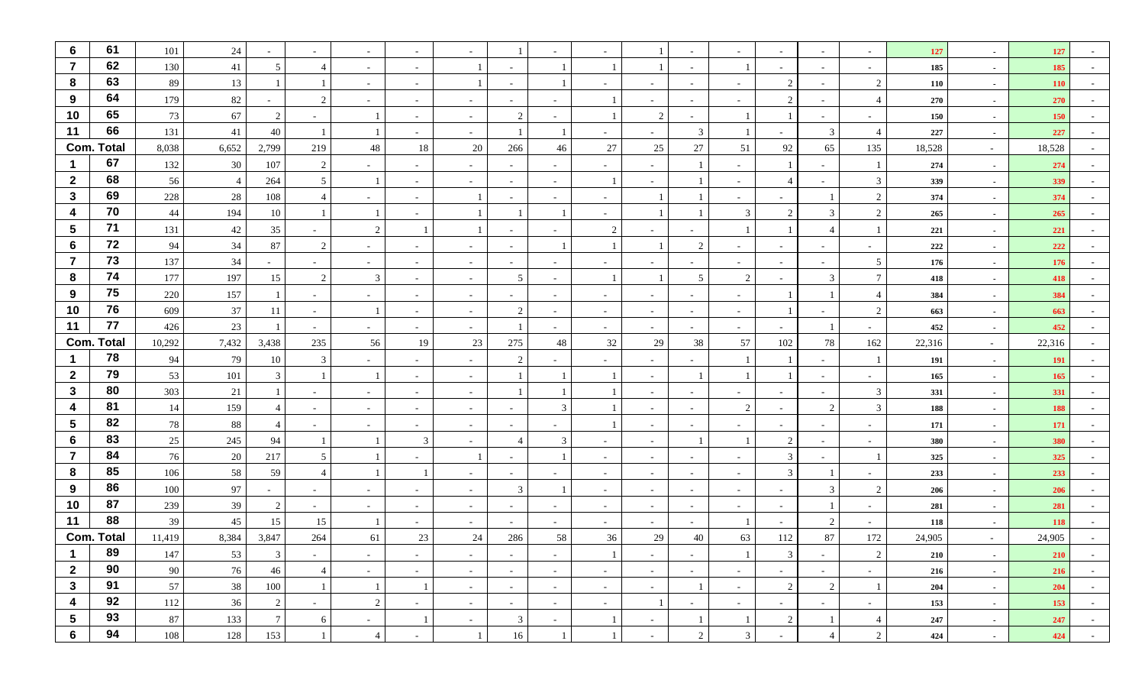| $6\phantom{1}6$         | 61                | 101    | 24             |                 |                          | $\sim$         |                          |                          |                          |                          |              |        |                          |                          |                               |                |                | 127    | $\sim$ | 127        |        |
|-------------------------|-------------------|--------|----------------|-----------------|--------------------------|----------------|--------------------------|--------------------------|--------------------------|--------------------------|--------------|--------|--------------------------|--------------------------|-------------------------------|----------------|----------------|--------|--------|------------|--------|
| $\overline{7}$          | 62                | 130    | $41\,$         | 5               |                          | $\sim$         | $\overline{\phantom{a}}$ |                          | $\sim$                   |                          |              |        |                          |                          |                               | $\sim$         | $\sim$         | 185    | $\sim$ | 185        |        |
| 8                       | 63                | 89     | 13             |                 |                          | $\sim$         | $\overline{\phantom{a}}$ |                          | $\overline{\phantom{0}}$ |                          |              | $\sim$ | $\overline{\phantom{a}}$ | $\overline{\phantom{a}}$ | $\overline{2}$                | $\sim$         | $\overline{2}$ | 110    | $\sim$ | <b>110</b> |        |
| 9                       | 64                | 179    | 82             |                 | $\gamma$                 | $\sim$         |                          |                          |                          |                          |              |        |                          |                          | $\mathfrak{D}_{\mathfrak{p}}$ | $\sim$         | $\overline{4}$ | 270    | $\sim$ | 270        |        |
| 10                      | 65                | 73     | 67             | 2               |                          |                |                          |                          | $\overline{2}$           |                          |              | 2      |                          |                          |                               |                |                | 150    | $\sim$ | 150        |        |
| 11                      | 66                | 131    | 41             | 40              |                          |                | $\overline{\phantom{a}}$ | $\overline{\phantom{a}}$ |                          |                          |              | $\sim$ | 3                        |                          |                               | $\mathbf{3}$   | $\overline{4}$ | 227    | $\sim$ | 227        |        |
|                         | <b>Com. Total</b> | 8,038  | 6,652          | 2,799           | 219                      | 48             | 18                       | 20                       | 266                      | 46                       | 27           | 25     | 27                       | 51                       | 92                            | 65             | 135            | 18,528 | $\sim$ | 18,528     |        |
|                         | 67                | 132    | 30             | 107             | 2                        | $\sim$         | ۰.                       |                          | $\sim$                   |                          |              | $\sim$ |                          | $\sim$                   |                               | $\sim$         |                | 274    | $\sim$ | 274        |        |
| $\overline{2}$          | 68                | 56     | $\overline{4}$ | 264             | 5                        |                |                          |                          | $\sim$                   |                          |              | $\sim$ |                          | $\sim$                   |                               | $\sim$         | 3              | 339    | $\sim$ | 339        |        |
| $\mathbf{3}$            | 69                | 228    | $28\,$         | 108             |                          | $\sim$         |                          |                          | $\sim$                   |                          |              |        |                          |                          |                               |                | 2              | 374    | $\sim$ | 374        |        |
| 4                       | 70                | 44     | 194            | 10              |                          |                | $\sim$                   |                          |                          |                          |              |        |                          | 3                        | 2                             | 3              | $\overline{c}$ | 265    | $\sim$ | 265        |        |
| $5\phantom{1}$          | 71                | 131    | 42             | 35              |                          | 2              |                          |                          | $\overline{\phantom{0}}$ |                          | 2            |        |                          |                          |                               |                |                | 221    | $\sim$ | 221        |        |
| 6                       | 72                | 94     | $34\,$         | 87              | 2                        | $\sim$         | $\overline{\phantom{a}}$ | $\overline{\phantom{a}}$ | $\sim$                   |                          |              |        | $\mathcal{D}$            | $\sim$                   |                               | $\sim$         |                | 222    | $\sim$ | 222        |        |
| $\overline{7}$          | 73                | 137    | 34             |                 | $\sim$                   | $\sim$         |                          |                          | $\sim$                   |                          |              | $\sim$ |                          | $\sim$                   |                               | $\sim$         | 5              | 176    | $\sim$ | 176        |        |
| 8                       | 74                | 177    | 197            | 15              | 2                        | 3              | $\sim$                   | $\sim$                   | 5                        | $\overline{\phantom{a}}$ |              |        | 5                        | $\overline{2}$           |                               | $\mathcal{R}$  | $\overline{7}$ | 418    | $\sim$ | 418        |        |
| 9                       | 75                | 220    | 157            |                 | $\sim$                   | $\sim$         | $\sim$                   | $\overline{\phantom{a}}$ | $\sim$                   |                          |              | $\sim$ |                          | $\sim$                   |                               |                | $\overline{4}$ | 384    | $\sim$ | 384        |        |
| 10                      | 76                | 609    | 37             | 11              | $\overline{\phantom{a}}$ |                |                          | $\overline{\phantom{a}}$ | $\overline{2}$           |                          |              | $\sim$ |                          | $\sim$                   |                               |                | $\mathcal{D}$  | 663    | $\sim$ | 663        |        |
| 11                      | 77                | 426    | 23             |                 | $\overline{\phantom{a}}$ | $\sim$         |                          |                          |                          |                          |              | $\sim$ |                          | $\sim$                   |                               |                |                | 452    | $\sim$ | 452        |        |
|                         | <b>Com. Total</b> | 10,292 | 7,432          | 3,438           | 235                      | 56             | 19                       | 23                       | 275                      | 48                       | 32           | 29     | 38                       | 57                       | 102                           | 78             | 162            | 22,316 | $\sim$ | 22,316     |        |
|                         | 78                | 94     | 79             | 10              | 3                        | $\sim$         |                          |                          | $\mathfrak{D}$           |                          |              | $\sim$ |                          |                          |                               | $\sim$         |                | 191    | $\sim$ | <b>191</b> |        |
| $\mathbf{2}$            | 79                | 53     | 101            | 3               |                          |                | $\overline{\phantom{a}}$ |                          |                          |                          |              | $\sim$ |                          |                          |                               | $\sim$         |                | 165    | $\sim$ | 165        |        |
| $\mathbf{3}$            | 80                | 303    | 21             |                 | $\overline{\phantom{a}}$ | $\sim$         |                          | $\overline{\phantom{a}}$ |                          |                          |              | $\sim$ |                          | $\sim$                   |                               | $\sim$         | 3              | 331    | $\sim$ | 331        |        |
| $\overline{\mathbf{4}}$ | 81                | 14     | 159            |                 | $\overline{\phantom{a}}$ | $\sim$         | $\overline{\phantom{a}}$ |                          | $\sim$                   | 3                        |              | $\sim$ |                          | $\overline{2}$           |                               | $\mathcal{D}$  | $\mathcal{R}$  | 188    | $\sim$ | 188        |        |
| $5\phantom{.0}$         | 82                | 78     | 88             |                 | $\sim$                   | $\overline{a}$ | $\sim$                   | $\overline{\phantom{a}}$ | $\overline{\phantom{0}}$ | $\overline{\phantom{a}}$ |              | $\sim$ |                          | $\overline{\phantom{a}}$ |                               | $\sim$         |                | 171    | $\sim$ | 171        |        |
| $6\phantom{.}6$         | 83                | 25     | 245            | 94              |                          |                | 3                        |                          | $\Delta$                 | 3                        |              | $\sim$ |                          |                          | $\mathcal{D}$                 |                |                | 380    | $\sim$ | 380        |        |
| $\overline{7}$          | 84                | 76     | $20\,$         | 217             | 5                        |                |                          |                          | $\overline{\phantom{a}}$ |                          |              | $\sim$ |                          | $\sim$                   | 3                             |                |                | 325    | $\sim$ | 325        |        |
| 8                       | 85                | 106    | 58             | 59              |                          |                |                          | $\overline{\phantom{a}}$ | $\sim$                   |                          |              | $\sim$ |                          | $\sim$                   | 3                             |                |                | 233    | $\sim$ | 233        |        |
| 9                       | 86                | 100    | 97             | $\sim$          | $\overline{\phantom{a}}$ | $\sim$         |                          |                          | 3                        |                          |              | $\sim$ |                          | $\sim$                   |                               | $\mathcal{R}$  | $\overline{2}$ | 206    | $\sim$ | 206        |        |
| 10                      | 87                | 239    | 39             | 2               |                          | $\sim$         |                          |                          | $\sim$                   |                          |              | $\sim$ |                          | $\sim$                   |                               |                |                | 281    | $\sim$ | 281        |        |
| 11                      | 88                | 39     | 45             | 15              | 15                       |                |                          |                          |                          |                          |              |        |                          |                          |                               | $\mathcal{D}$  |                | 118    | $\sim$ | 118        |        |
|                         | <b>Com. Total</b> | 11,419 | 8,384          | 3,847           | 264                      | 61             | 23                       | $24\,$                   | 286                      | 58                       | 36           | 29     | 40                       | 63                       | 112                           | 87             | 172            | 24,905 | $\sim$ | 24,905     |        |
| - 1                     | 89                | 147    | 53             | 3 <sup>1</sup>  | $\sim$                   | $\sim$         | $\sim$                   | $\sim$                   | $\sim$                   | $\sim$                   | $\mathbf{I}$ | $\sim$ | $\sim$                   | 1                        | $\mathfrak{Z}$                | $\sim$         | $\overline{2}$ | 210    | $\sim$ | <b>210</b> | $\sim$ |
| $\overline{2}$          | 90                | 90     | 76             | 46              | $\overline{4}$           | $\sim$         | $\sim$                   | $\sim$                   | $\sim$                   | $\sim$                   | $\sim$       | $\sim$ | $\sim$                   | $\sim$                   | $\sim$                        | $\sim$         | $\sim$ $-$     | 216    | $\sim$ | 216        | $\sim$ |
| $\mathbf{3}$            | 91                | 57     | 38             | 100             |                          |                | $\overline{1}$           | $\sim$                   | $\sim$                   | $\sim$                   | $\sim$       | $\sim$ |                          | $\sim$                   | 2                             | 2              |                | 204    | $\sim$ | 204        | $\sim$ |
| $\overline{\mathbf{4}}$ | 92                | 112    | 36             | 2               | $\sim$                   | 2              | $\sim$                   | $\sim$                   | $\sim$                   | $\sim$                   | $\sim$       | -1     | $\sim$                   | $\sim$                   | $\sim$                        | $\sim$         | $\sim$         | 153    | $\sim$ | 153        | $\sim$ |
| $5\phantom{.0}$         | 93                | 87     | 133            | $7\phantom{.0}$ | 6                        | $\sim$         | -1                       | $\sim$                   | 3                        | $\sim$                   | - 1          | $\sim$ |                          | $\mathbf{1}$             | 2                             |                | $\overline{4}$ | 247    | $\sim$ | 247        | $\sim$ |
| $6\phantom{1}$          | 94                | 108    | 128            | 153             |                          | $\overline{4}$ | $\sim$                   |                          | 16                       | 1                        |              | $\sim$ | $\overline{2}$           | 3                        | $\sim$                        | $\overline{4}$ | 2              | 424    | $\sim$ | 424        | $\sim$ |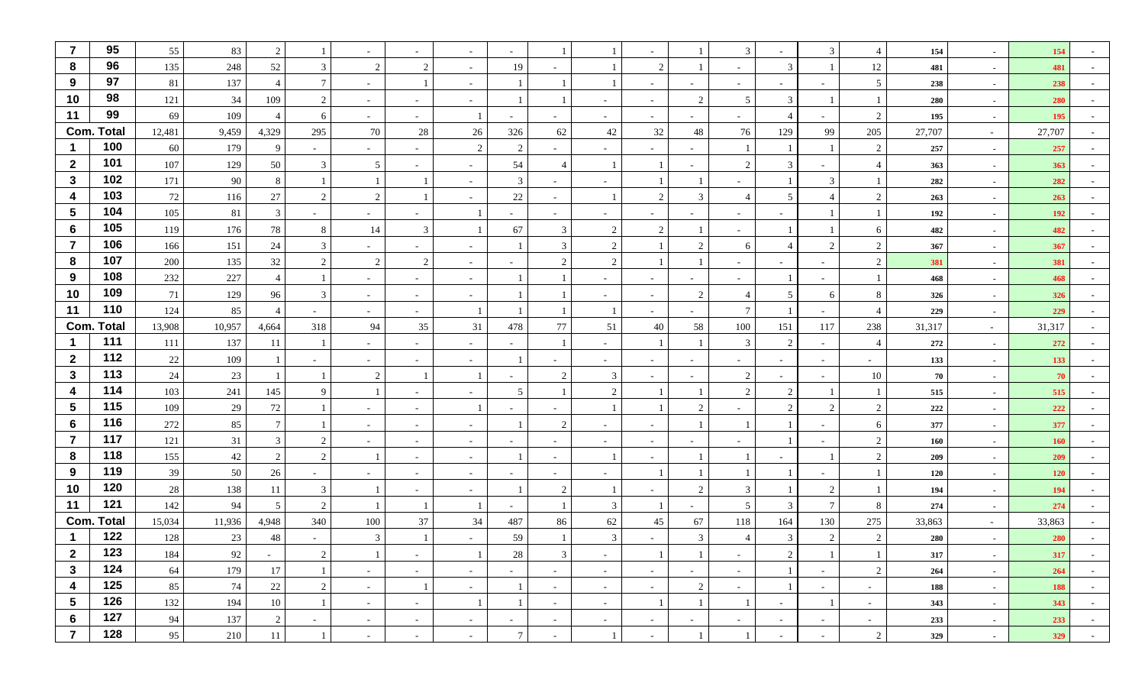| $\overline{7}$  | 95                | 55     | 83     | 2             |                          | $\sim$                   |                          | $\overline{\phantom{a}}$ | $\overline{a}$           |                |                          |                |                          | 3                        | $\sim$         | 3              | $\overline{4}$ | 154    | $\sim$         | 154        |        |
|-----------------|-------------------|--------|--------|---------------|--------------------------|--------------------------|--------------------------|--------------------------|--------------------------|----------------|--------------------------|----------------|--------------------------|--------------------------|----------------|----------------|----------------|--------|----------------|------------|--------|
| 8               | 96                | 135    | 248    | 52            | 3                        | 2                        | 2                        | $\sim$                   | 19                       |                |                          | 2              |                          | $\sim$                   | 3              |                | 12             | 481    | $\sim$         | 481        |        |
| 9               | 97                | 81     | 137    |               | $7\phantom{.0}$          | $\sim$                   |                          | $\overline{\phantom{a}}$ |                          |                |                          | $\sim$         | $\sim$                   | $\overline{\phantom{0}}$ | $\overline{a}$ | $\sim$         | 5              | 238    | $\sim$         | 238        |        |
| 10              | 98                | 121    | 34     | 109           | 2                        | $\sim$                   |                          |                          |                          |                |                          | $\sim$         | $\overline{2}$           | 5                        | $\mathcal{R}$  |                | $\overline{1}$ | 280    | $\sim$         | 280        |        |
| 11              | 99                | 69     | 109    |               | 6                        | $\sim$                   | $\overline{\phantom{a}}$ |                          | $\overline{\phantom{0}}$ |                | $\overline{\phantom{a}}$ | $\sim$         |                          | $\sim$                   | 4              |                | 2              | 195    | $\sim$         | 195        |        |
| Com.            | Total             | 12,481 | 9,459  | 4,329         | 295                      | 70                       | 28                       | 26                       | 326                      | 62             | $42\,$                   | 32             | 48                       | 76                       | 129            | 99             | 205            | 27,707 | $\sim$         | 27,707     |        |
|                 | 100               | 60     | 179    | 9             | $\sim$                   | $\sim$                   | $\overline{\phantom{a}}$ | 2                        | 2                        | $\sim$         | $\overline{\phantom{a}}$ | $\sim$         | $\overline{\phantom{a}}$ |                          |                |                | 2              | 257    | $\sim$         | 257        |        |
| $\mathbf{2}$    | 101               | 107    | 129    | 50            | 3                        | 5                        | $\sim$                   | $\overline{\phantom{a}}$ | 54                       | $\overline{4}$ |                          |                |                          | 2                        | 3              | $\sim$         | $\overline{4}$ | 363    | $\sim$         | 363        |        |
| $\mathbf{3}$    | 102               | 171    | 90     | 8             |                          |                          | $\overline{1}$           | $\overline{\phantom{a}}$ | 3                        | $\sim$         |                          |                |                          | $\sim$                   |                | 3              |                | 282    | $\sim$         | 282        |        |
| 4               | 103               | 72     | 116    | 27            | 2                        | 2                        | $\overline{1}$           |                          | $22\,$                   | $\sim$         | $\overline{1}$           | 2              | 3                        | $\overline{4}$           | 5              |                | 2              | 263    | $\sim$         | 263        |        |
| 5               | 104               | 105    | 81     | 3             | $\sim$                   | $\sim$                   | $\sim$                   |                          | $\sim$                   | $\sim$         | $\sim$                   | $\sim$         | $\sim$                   | $\sim$                   | $\sim$         |                |                | 192    | $\sim$         | 192        | $\sim$ |
| 6               | 105               | 119    | 176    | 78            | 8                        | 14                       | 3                        |                          | 67                       | 3              | 2                        | 2              |                          | $\overline{\phantom{0}}$ |                |                | 6              | 482    | $\sim$         | 482        |        |
| $\overline{7}$  | 106               | 166    | 151    | 24            | 3                        | $\sim$                   | $\overline{\phantom{a}}$ | $\overline{\phantom{a}}$ |                          | 3              | $\overline{2}$           |                | $\gamma$                 | 6                        | $\overline{4}$ | 2              | 2              | 367    | $\sim$         | 367        |        |
| 8               | 107               | 200    | 135    | 32            | 2                        | 2                        | 2                        | $\sim$                   | $\sim$                   | 2              | 2                        |                |                          | $\sim$                   |                | $\sim$         | $\overline{c}$ | 381    | $\sim$         | 381        |        |
| 9               | 108               | 232    | 227    |               | $\overline{\phantom{a}}$ | $\sim$                   | $\sim$                   | $\sim$                   |                          | $\mathbf{1}$   | $\overline{\phantom{a}}$ | $\sim$         | $\overline{\phantom{a}}$ | $\sim$                   |                | $\sim$         | $\overline{1}$ | 468    | $\sim$         | 468        |        |
| 10              | 109               | 71     | 129    | 96            | 3                        | $\sim$                   | $\sim$                   | $\sim$                   |                          |                | $\overline{\phantom{a}}$ | $\sim$         | 2                        | $\overline{4}$           | 5              | 6              | 8              | 326    | $\sim$         | 326        |        |
| 11              | 110               | 124    | 85     |               | $\overline{\phantom{a}}$ | $\sim$                   | $\overline{\phantom{a}}$ |                          |                          |                |                          | $\sim$         |                          | $7\phantom{.0}$          |                | $\sim$         | $\overline{4}$ | 229    | $\sim$         | 229        |        |
|                 | <b>Com. Total</b> | 13,908 | 10,957 | 4,664         | 318                      | 94                       | 35                       | 31                       | 478                      | 77             | 51                       | 40             | 58                       | 100                      | 151            | 117            | 238            | 31,317 | $\sim$ $-$     | 31,317     |        |
| -1              | 111               | 111    | 137    | -11           | - 1                      | $\sim$                   | $\sim$                   | $\sim$                   | $\sim$                   | $\overline{1}$ | $\sim$                   |                |                          | 3                        | 2              | $\sim$         | $\overline{4}$ | 272    | $\sim$         | 272        |        |
| $\mathbf{2}$    | 112               | 22     | 109    |               | $\overline{\phantom{a}}$ | $\overline{\phantom{0}}$ | $\overline{\phantom{a}}$ | $\overline{\phantom{a}}$ |                          |                |                          | $\overline{a}$ |                          | $\overline{\phantom{a}}$ | $\sim$         | $\sim$         | $\sim$         | 133    | $\sim$         | 133        |        |
| $\mathbf{3}$    | 113               | 24     | 23     |               |                          | 2                        |                          |                          | $\sim$                   | 2              | $\mathfrak{Z}$           | $\sim$         |                          | $\overline{2}$           | $\sim$         | $\sim$         | 10             | 70     | $\sim$         | 70         |        |
| 4               | 114               | 103    | 241    | 145           | $\mathbf{Q}$             |                          | $\overline{\phantom{a}}$ | $\overline{\phantom{a}}$ | 5                        |                | 2                        |                |                          | 2                        | 2              |                |                | 515    | $\sim$         | 515        |        |
| 5               | 115               | 109    | $29\,$ | 72            |                          | $\sim$                   | $\overline{\phantom{a}}$ |                          |                          |                |                          |                | $\overline{2}$           |                          | 2              | 2              | $\overline{2}$ | 222    | $\sim$         | 222        |        |
| 6               | 116               | 272    | 85     |               |                          | $\sim$                   | $\sim$                   | $\overline{\phantom{a}}$ |                          | $\overline{2}$ | $\overline{\phantom{a}}$ | $\sim$         |                          |                          |                | $\sim$         | 6              | 377    | $\sim$         | 377        |        |
| $\overline{7}$  | 117               | 121    | 31     | $\mathcal{R}$ | 2                        | $\sim$                   | $\overline{\phantom{a}}$ | $\overline{\phantom{a}}$ |                          |                |                          | $\sim$         |                          |                          |                | $\sim$         | 2              | 160    | $\sim$         | 160        |        |
| 8               | 118               | 155    | $42\,$ | 2             | 2                        |                          | $\overline{\phantom{a}}$ | $\sim$                   |                          | $\sim$         |                          | $\sim$         |                          |                          |                |                | 2              | 209    | $\sim$         | 209        |        |
| 9               | 119               | 39     | 50     | 26            | $\sim$                   | $\sim$                   | $\sim$                   | $\sim$                   | $\sim$                   | $\sim$         | $\sim$                   |                |                          |                          |                | $\sim$         |                | 120    | $\sim$         | <b>120</b> |        |
| 10              | 120               | 28     | 138    | 11            | 3                        |                          | $\sim$                   | $\overline{\phantom{a}}$ |                          | $\overline{2}$ |                          | $\sim$         | 2                        | 3                        |                | 2              |                | 194    | $\sim$         | 194        |        |
| 11              | 121               | 142    | 94     | 5             | 2                        |                          |                          |                          | $\sim$                   |                | 3                        |                |                          | 5                        | 3              | $\tau$         | 8              | 274    | $\sim$         | 274        |        |
|                 | <b>Com. Total</b> | 15,034 | 11,936 | 4,948         | 340                      | 100                      | 37                       | 34                       | 487                      | 86             | 62                       | 45             | 67                       | 118                      | 164            | 130            | 275            | 33,863 | $\sim$ $-$     | 33,863     |        |
|                 | 122               | 128    | 23     | 48            |                          | 3                        |                          |                          | 59                       |                | $\mathfrak{Z}$           |                | 3                        |                          | 3              | $\overline{2}$ | 2              | 280    | $\blacksquare$ | 280        |        |
| $\mathbf{2}$    | 123               | 184    | 92     | $\sim$        | $\overline{2}$           | $\perp$                  | $\sim$                   | -1                       | 28                       | $\mathfrak{Z}$ | $\sim$                   |                |                          | $\sim$                   | $\overline{2}$ |                |                | 317    | $\sim$         | 317        | $\sim$ |
| $\mathbf{3}$    | 124               | 64     | 179    | 17            | -1                       | $\sim$                   | $\sim$                   | $\sim$                   | $\sim$                   | $\sim$         | $\sim$                   | $\sim$         | $\sim$                   | $\sim$                   | 1              | $\sim$         | 2              | 264    | $\sim$         | 264        | $\sim$ |
| 4               | 125               | 85     | 74     | 22            | $\sqrt{2}$               | $\sim$                   | $\overline{1}$           | $\sim$                   |                          | $\sim$         | $\sim$                   | $\sim$         | 2                        | $\sim$                   |                | $\sim$         | $\sim$         | 188    | $\sim$         | 188        | $\sim$ |
| $5\phantom{.0}$ | 126               | 132    | 194    | 10            | -1                       | $\sim$                   | $\sim$                   | -1                       | 1                        | $\sim$         | $\sim$                   |                |                          |                          | $\sim$         |                | $\sim$         | 343    | $\sim$         | 343        | $\sim$ |
| 6               | 127               | 94     | 137    | 2             | $\sim$                   | $\sim$                   | $\sim$                   | $\sim$                   | $\sim$                   | $\sim$         | $\sim$                   | $\sim$         | $\sim$                   | $\sim$                   | $\sim$         | $\sim$         | $\sim$         | 233    | $\sim$         | 233        | $\sim$ |
| $\overline{7}$  | 128               | 95     | 210    | 11            | -1                       | $\sim$                   | $\sim$                   | $\sim$                   | $\tau$                   | $\sim$         | 1                        | $\sim$         |                          |                          | $\sim$         | $\sim$         | 2              | 329    | $\sim$         | 329        | $\sim$ |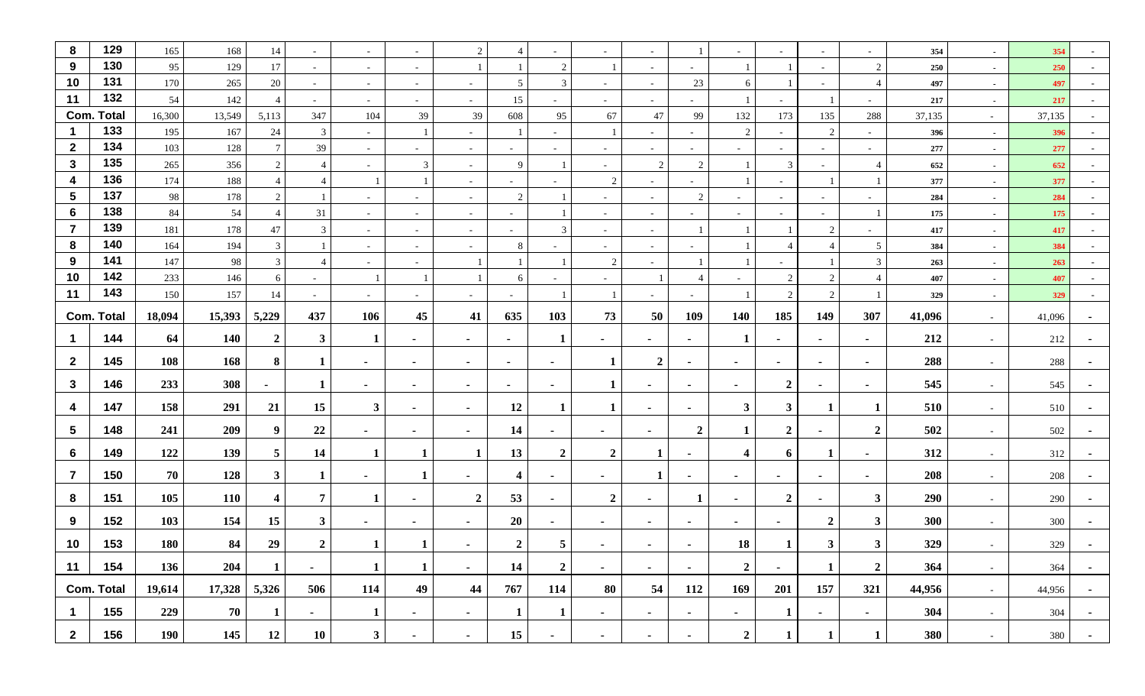| 8                    | 129               | 165        | 168        | 14              | $\sim$                   | $\sim$         | $\overline{\phantom{a}}$ | 2                        | $\overline{4}$           | ٠                        |                          | $\sim$                   |                | $\sim$         |                  | $\sim$         |                     | 354        | $\sim$ | 354        |        |
|----------------------|-------------------|------------|------------|-----------------|--------------------------|----------------|--------------------------|--------------------------|--------------------------|--------------------------|--------------------------|--------------------------|----------------|----------------|------------------|----------------|---------------------|------------|--------|------------|--------|
| 9                    | 130               | 95         | 129        | 17              | $\sim$                   | $\sim$         | $\overline{\phantom{a}}$ |                          |                          | $\overline{2}$           |                          | $\sim$                   | $\sim$         |                |                  | $\sim$         | $\overline{c}$      | 250        | $\sim$ | 250        |        |
| 10                   | 131               | 170        | 265        | 20              | $\sim$                   | $\sim$         | $\sim$                   | $\overline{\phantom{a}}$ | 5                        | 3                        | $\overline{\phantom{a}}$ | $\sim$                   | 23             | 6              |                  | $\sim$         | $\overline{4}$      | 497        | $\sim$ | 497        |        |
| 11                   | 132               | 54         | 142        | $\overline{4}$  | $\overline{\phantom{a}}$ | $\sim$         | $\sim$                   |                          | 15                       |                          |                          | $\sim$                   |                |                |                  |                |                     | 217        | $\sim$ | 217        |        |
|                      | <b>Com. Total</b> | 16,300     | 13,549     | 5,113           | 347                      | 104            | 39                       | 39                       | 608                      | 95                       | 67                       | 47                       | 99             | 132            | 173              | 135            | 288                 | 37,135     | $\sim$ | 37,135     |        |
| -1                   | 133               | 195        | 167        | 24              | $\mathbf{3}$             | $\sim$         |                          | $\sim$                   |                          | $\sim$                   |                          | $\sim$                   | $\sim$         | 2              | $\sim$           | 2              | $\sim$              | 396        | $\sim$ | 396        |        |
| $\overline{2}$       | 134               | 103        | 128        | $7\phantom{.0}$ | 39                       | $\sim$         | $\sim$                   | $\sim$                   | $\sim$                   | $\sim$                   | $\sim$                   | $\sim$                   | $\sim$         | $\sim$         | $\sim$           | $\sim$         | $\overline{a}$      | 277        | $\sim$ | 277        |        |
| $\mathbf{3}$         | 135               | 265        | 356        | $\overline{2}$  |                          | $\sim$         | $\mathfrak{Z}$           | $\sim$                   | 9                        |                          | $\overline{\phantom{a}}$ | 2                        | $\overline{2}$ |                | 3                | $\sim$         | $\overline{4}$      | 652        | $\sim$ | 652        |        |
| $\boldsymbol{4}$     | 136               | 174        | 188        | $\overline{4}$  |                          |                | $\overline{1}$           | $\sim$                   | $\sim$                   | ٠                        | 2                        | $\sim$                   |                |                | $\sim$           |                |                     | 377        | $\sim$ | 377        |        |
| $5\phantom{.0}$      | 137               | 98         | 178        | $\overline{2}$  |                          | $\sim$         | $\overline{\phantom{a}}$ | $\overline{\phantom{a}}$ | $\overline{2}$           |                          |                          | $\sim$                   | 2              | $\sim$         | $\sim$           | $\sim$         | $\sim$              | 284        | $\sim$ | 284        |        |
| 6                    | 138               | 84         | 54         | $\overline{4}$  | 31                       | $\sim$         | $\sim$                   | $\sim$                   | $\sim$                   |                          | $\sim$                   | $\sim$                   | $\sim$         | $\sim$         | $\sim$           | $\sim$         |                     | 175        | $\sim$ | 175        | $\sim$ |
| $\overline{7}$       | 139               | 181        | 178        | 47              | 3                        | $\sim$         | $\sim$                   | $\overline{\phantom{a}}$ | $\overline{\phantom{0}}$ | 3                        | $\overline{\phantom{a}}$ | $\sim$                   |                |                |                  | $\overline{2}$ |                     | 417        | $\sim$ | 417        |        |
| 8                    | 140<br>141        | 164        | 194        | $\mathbf{3}$    |                          | $\sim$         | $\overline{\phantom{a}}$ | $\sim$                   | 8                        | $\overline{\phantom{a}}$ | $\sim$                   | $\sim$                   |                |                | 4                |                | 5                   | 384        | $\sim$ | 384        |        |
| 9<br>10              | 142               | 147<br>233 | 98<br>146  | $\mathbf{3}$    |                          | $\sim$         | $\sim$                   |                          |                          |                          | 2                        | $\sim$                   |                |                | $\overline{2}$   | $\overline{2}$ | 3<br>$\overline{4}$ | 263        | $\sim$ | 263        |        |
| 11                   | 143               | 150        | 157        | 6<br>14         | $\sim$                   |                |                          |                          | 6                        | $\sim$                   | $\sim$                   |                          |                | $\sim$         | 2                | 2              |                     | 407<br>329 | $\sim$ | 407<br>329 |        |
|                      |                   |            |            |                 | $\sim$                   | $\sim$         | $\sim$                   | $\sim$                   | $\sim$                   |                          |                          | $\sim$                   | $\sim$         |                |                  |                |                     |            | $\sim$ |            |        |
|                      | <b>Com. Total</b> | 18,094     | 15,393     | 5,229           | 437                      | 106            | 45                       | 41                       | 635                      | 103                      | 73                       | 50                       | 109            | 140            | 185              | 149            | 307                 | 41,096     | $\sim$ | 41,096     |        |
| $\mathbf 1$          | 144               | 64         | <b>140</b> | $\mathbf{2}$    | $\mathbf{3}$             | 1              | ۰                        | $\overline{\phantom{a}}$ | $\blacksquare$           | 1                        | ٠                        | $\overline{\phantom{a}}$ | $\blacksquare$ |                | $\blacksquare$   | $\sim$         | $\sim$              | 212        | $\sim$ | 212        |        |
| $\mathbf{2}$         | 145               | 108        | 168        | 8               | 1                        | $\sim$         | $\blacksquare$           | $\sim$                   | ж.                       | $\blacksquare$           | $\mathbf{1}$             | $\boldsymbol{2}$         | $\sim$         | $\sim$         | ж.               | ж.             | $\sim$              | 288        | $\sim$ | 288        |        |
| $\mathbf{3}$         | 146               | 233        | 308        | $\blacksquare$  | 1                        | $\sim$         | $\blacksquare$           | $\sim$                   | $\blacksquare$           | $\blacksquare$           | 1                        | $\sim$                   | $\blacksquare$ | $\sim$         | $\overline{2}$   | $\sim$         | $\sim$              | 545        | $\sim$ | 545        |        |
| 4                    | 147               | 158        | 291        | 21              | 15                       | $\mathbf{3}$   | $\blacksquare$           | $\sim$                   | 12                       | -1                       | 1                        | $\sim$                   | $\blacksquare$ | $\mathbf{3}$   | $\mathbf{3}$     | -1             | -1                  | 510        | $\sim$ | 510        |        |
| $\sqrt{5}$           | 148               | 241        | 209        | 9               | 22                       | $\sim$         | ۰                        | $\sim$                   | 14                       |                          | ۰.                       | ж.                       | $\overline{2}$ | 1              | $\boldsymbol{2}$ |                | $\boldsymbol{2}$    | 502        | $\sim$ | 502        |        |
|                      |                   |            |            |                 |                          |                |                          |                          |                          |                          |                          |                          |                |                |                  |                |                     |            |        |            |        |
| 6                    | 149               | 122        | 139        | 5 <sup>5</sup>  | 14                       | 1              | 1                        | 1                        | 13                       | $\overline{2}$           | $\boldsymbol{2}$         | -1                       |                | $\overline{4}$ | 6                | 1              | $\blacksquare$      | 312        | $\sim$ | 312        |        |
| $\overline{7}$       | 150               | 70         | 128        | $3^{\circ}$     | 1                        | $\blacksquare$ | 1                        | $\blacksquare$           | $\boldsymbol{4}$         | $\sim$                   | $\sim$                   | 1                        | $\blacksquare$ | ٠              | $\blacksquare$   | $\sim$         | $\blacksquare$      | 208        | $\sim$ | 208        |        |
| 8                    | 151               | 105        | <b>110</b> | 4               | 7                        | 1              | ٠                        | $\mathbf{2}$             | 53                       | ٠                        | $\boldsymbol{2}$         | $\sim$                   |                | $\sim$         | $\boldsymbol{2}$ | $\sim$         | $\mathbf{3}$        | 290        | $\sim$ | 290        |        |
| 9                    | 152               | 103        | 154        | 15              | $\mathbf{3}$             | $\blacksquare$ | $\blacksquare$           | $\sim$                   | 20                       | $\blacksquare$           | $\blacksquare$           | $\sim$                   |                | $\blacksquare$ |                  | $\mathbf{2}$   | $\mathbf{3}$        | 300        |        | 300        |        |
| 10                   | 153               | 180        | 84         | 29              | $\mathbf{2}$             |                |                          |                          | $\mathbf{2}$             | $5\phantom{.0}$          |                          |                          |                | 18             |                  | 3              | $\mathbf{3}$        | 329        |        | 329        |        |
| 11                   | 154               | 136        | 204        | $\mathbf{1}$    | $\sim$                   | $\mathbf 1$    | $\mathbf{1}$             | $\sim$                   | 14                       | $\overline{2}$           | $\sim$                   | $\sim$                   | $\sim$         | $\overline{2}$ | $\sim$           | $\mathbf{1}$   | $\overline{2}$      | 364        | $\sim$ | 364        | $\sim$ |
|                      | <b>Com. Total</b> | 19,614     | 17,328     | 5,326           | 506                      | 114            | 49                       | 44                       | 767                      | 114                      | 80                       | 54                       | 112            | 169            | 201              | 157            | 321                 | 44,956     | $\sim$ | 44,956     | $\sim$ |
| $\blacktriangleleft$ | 155               | 229        | 70         | $\mathbf{1}$    | $\sim$                   | $\mathbf 1$    | ۰                        | $\sim$                   | 1                        | $\mathbf{1}$             | ٠                        | $\sim$                   | ٠              | $\blacksquare$ | 1                | $\sim$         | $\blacksquare$      | 304        | $\sim$ | 304        | $\sim$ |
| $\overline{2}$       | 156               | 190        | 145        | 12              | 10                       | 3 <sup>1</sup> | $\sim$                   | $\sim$                   | 15                       | $\blacksquare$           | $\sim$                   | $\sim$                   | $\blacksquare$ | $\overline{2}$ | $\mathbf{1}$     | 1              | $\mathbf{1}$        | 380        | $\sim$ | 380        | $\sim$ |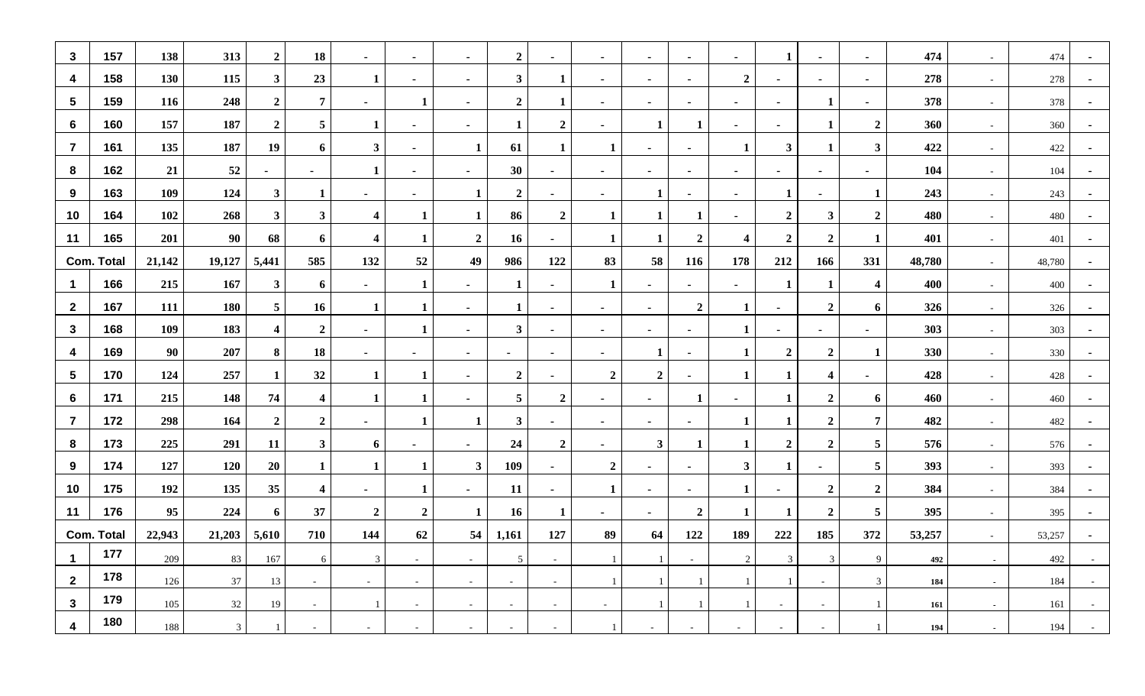| $\mathbf{3}$    | 157               | 138    | 313        | $\boldsymbol{2}$        | 18                      | $\sim$                  | $\sim$           | $\sim$         | $\overline{2}$   | $\sim$           | $\sim$           | $\sim$           | $\blacksquare$ | $\sim$                   | 1                        | $\sim$                  | $\blacksquare$          | 474    | $\sim$ | 474    | $\blacksquare$ |
|-----------------|-------------------|--------|------------|-------------------------|-------------------------|-------------------------|------------------|----------------|------------------|------------------|------------------|------------------|----------------|--------------------------|--------------------------|-------------------------|-------------------------|--------|--------|--------|----------------|
| 4               | 158               | 130    | 115        | 3 <sup>1</sup>          | 23                      | 1                       | ٠                | $\blacksquare$ | $\mathbf{3}$     | 1                | $\sim$           | ۰.               | ۰              | $\overline{2}$           |                          | ٠                       | $\blacksquare$          | 278    | $\sim$ | 278    |                |
| $5\phantom{.0}$ | 159               | 116    | 248        | $\overline{2}$          | $\overline{7}$          | $\blacksquare$          | 1                | $\blacksquare$ | $\overline{2}$   | 1                |                  | $\blacksquare$   | $\blacksquare$ | $\blacksquare$           |                          | $\mathbf{1}$            | $\blacksquare$          | 378    | $\sim$ | 378    |                |
| 6               | 160               | 157    | 187        | $\boldsymbol{2}$        | 5                       |                         | $\blacksquare$   | $\blacksquare$ | 1                | $\boldsymbol{2}$ | $\sim$           | 1                | -1             | $\sim$                   | $\blacksquare$           | 1                       | $\overline{2}$          | 360    | $\sim$ | 360    | $\sim$         |
| $\overline{7}$  | 161               | 135    | 187        | 19                      | 6                       | $\mathbf{3}$            | ٠                |                | 61               |                  | 1                | $\blacksquare$   | $\blacksquare$ | 1                        | $\mathbf{3}$             | $\mathbf{1}$            | $\mathbf{3}$            | 422    | $\sim$ | 422    |                |
| 8               | 162               | 21     | 52         | $\blacksquare$          | $\blacksquare$          | 1                       | $\blacksquare$   |                | 30               | $\sim$           | $\sim$           | $\blacksquare$   | $\blacksquare$ | $\blacksquare$           |                          | $\blacksquare$          | $\blacksquare$          | 104    | $\sim$ | 104    |                |
| 9               | 163               | 109    | 124        | $3^{\circ}$             | -1                      | $\blacksquare$          | $\blacksquare$   |                | $\overline{2}$   | $\sim$           | $\sim$           | 1                | $\blacksquare$ | $\sim$                   | 1                        | $\blacksquare$          | 1                       | 243    | $\sim$ | 243    | $\sim$         |
| 10              | 164               | 102    | 268        | 3 <sup>1</sup>          | $\mathbf{3}$            | $\overline{\mathbf{4}}$ | 1                |                | 86               | $\boldsymbol{2}$ | $\mathbf{1}$     | 1                | -1             | $\sim$                   | $\overline{2}$           | $\mathbf{3}$            | $\overline{2}$          | 480    | $\sim$ | 480    |                |
| 11              | 165               | 201    | 90         | 68                      | 6                       | $\overline{\mathbf{4}}$ | 1                | $\overline{2}$ | 16               | $\blacksquare$   | -1               | 1                | $\overline{2}$ | $\overline{\mathbf{4}}$  | $\overline{2}$           | $\overline{2}$          | 1                       | 401    | $\sim$ | 401    |                |
|                 | <b>Com. Total</b> | 21,142 | 19,127     | 5,441                   | 585                     | 132                     | 52               | 49             | 986              | 122              | 83               | 58               | 116            | 178                      | 212                      | 166                     | 331                     | 48,780 | $\sim$ | 48,780 | $\sim$         |
| -1              | 166               | 215    | 167        | 3 <sup>1</sup>          | 6                       | $\sim$                  | $\mathbf{1}$     | $\blacksquare$ | $\mathbf{1}$     | $\sim$           | 1                | $\sim$           | $\blacksquare$ | $\sim$                   | 1                        | 1                       | $\overline{\mathbf{4}}$ | 400    | $\sim$ | 400    | $\sim$         |
| $\mathbf{2}$    | 167               | 111    | <b>180</b> | 5 <sup>5</sup>          | <b>16</b>               | 1                       | 1                | $\blacksquare$ | 1                | ٠                | $\sim$           | $\blacksquare$   | $\overline{2}$ | 1                        |                          | $\overline{2}$          | 6                       | 326    | $\sim$ | 326    |                |
| $\mathbf{3}$    | 168               | 109    | 183        | $\overline{\mathbf{4}}$ | $\overline{2}$          | $\sim$                  | 1                | $\blacksquare$ | $\mathbf{3}$     | $\blacksquare$   | $\sim$           | $\sim$           | $\blacksquare$ | 1                        | $\blacksquare$           | $\blacksquare$          | $\blacksquare$          | 303    | $\sim$ | 303    | $\blacksquare$ |
| 4               | 169               | 90     | 207        | 8                       | 18                      | $\sim$                  | $\sim$           | $\sim$         | $\sim$           | $\sim$           | $\sim$           | 1                | $\blacksquare$ | $\mathbf{1}$             | $\overline{2}$           | $\overline{2}$          | 1                       | 330    | $\sim$ | 330    | $\blacksquare$ |
| $\sqrt{5}$      | 170               | 124    | 257        | $\mathbf 1$             | 32                      | $\mathbf{1}$            | -1               | $\blacksquare$ | $\boldsymbol{2}$ | ٠                | $\boldsymbol{2}$ | $\boldsymbol{2}$ | $\blacksquare$ |                          | 1                        | $\overline{\mathbf{4}}$ | $\blacksquare$          | 428    | $\sim$ | 428    |                |
| -6              | 171               | 215    | 148        | 74                      | $\overline{\mathbf{4}}$ | 1                       | 1                | $\blacksquare$ | $5\phantom{.0}$  | $\boldsymbol{2}$ | $\sim$           | $\sim$           | -1             | $\blacksquare$           | 1                        | $\overline{2}$          | 6                       | 460    | $\sim$ | 460    | $\blacksquare$ |
| $\overline{7}$  | 172               | 298    | 164        | $\overline{2}$          | $\overline{2}$          | $\sim$                  | 1                |                | $\mathbf{3}$     | $\sim$           | $\sim$           | $\blacksquare$   | $\blacksquare$ | 1                        | 1                        | $\overline{2}$          | $\overline{7}$          | 482    | $\sim$ | 482    | $\sim$         |
| 8               | 173               | 225    | 291        | 11                      | $\mathbf{3}$            | 6                       | $\sim$           | $\blacksquare$ | 24               | $\boldsymbol{2}$ | $\sim$           | $\mathbf{3}$     | -1             |                          | $\overline{2}$           | $\overline{2}$          | $\overline{\mathbf{5}}$ | 576    | $\sim$ | 576    |                |
| 9               | 174               | 127    | 120        | 20                      | -1                      |                         | $\mathbf 1$      | $\mathbf{3}$   | 109              | $\sim$           | $\boldsymbol{2}$ | $\sim$           | $\blacksquare$ | $\mathbf{3}$             | 1                        | $\blacksquare$          | $\overline{5}$          | 393    | $\sim$ | 393    | $\blacksquare$ |
| 10              | 175               | 192    | 135        | 35                      | $\overline{\mathbf{4}}$ | $\sim$                  | 1                | $\blacksquare$ | 11               | $\sim$           | 1                | $\sim$           | $\blacksquare$ | 1                        | $\blacksquare$           | $\overline{2}$          | $\overline{2}$          | 384    | $\sim$ | 384    | $\blacksquare$ |
| 11              | 176               | 95     | 224        | 6                       | 37                      | $\overline{\mathbf{c}}$ | $\boldsymbol{2}$ |                | <b>16</b>        | 1                | ж.               | ж.               | $\overline{2}$ |                          |                          | $\overline{2}$          | 5                       | 395    | $\sim$ | 395    |                |
|                 | <b>Com. Total</b> | 22,943 | 21,203     | 5,610                   | 710                     | 144                     | 62               | 54             | 1,161            | 127              | 89               | 64               | 122            | 189                      | 222                      | 185                     | 372                     | 53,257 | $\sim$ | 53,257 | $\blacksquare$ |
| -1              | 177               | 209    | 83         | 167                     | 6                       | 3                       | $\sim$           | $\sim$         | 5 <sup>5</sup>   | $\sim$           |                  |                  | $\sim$         | 2                        | 3                        | 3                       | 9                       | 492    | $\sim$ | 492    |                |
| $\mathbf{2}$    | 178               | 126    | 37         | 13                      | $\sim$                  | $\sim$                  | $\sim$           | $\sim$         | $\sim$           | $\sim$           | $\overline{1}$   | 1                |                | $\overline{1}$           | -1                       | $\sim$                  | $\mathfrak{Z}$          | 184    | $\sim$ | 184    | $\sim$ $ \sim$ |
| $\mathbf{3}$    | 179               | 105    | 32         | 19                      | $\sim$                  |                         | $\sim$           | $\sim$         | $\sim$           | $\sim$           | $\sim$           | 1                |                |                          | $\overline{\phantom{a}}$ | $\sim$                  | $\overline{1}$          | 161    | $\sim$ | 161    | $\sim$         |
| 4               | 180               | 188    | 3          |                         | $\sim$                  | $\sim$                  | $\sim$           | $\sim$         | $\sim$           | $\sim$           |                  | $\sim$           |                | $\overline{\phantom{a}}$ | $\sim$                   | $\sim$                  |                         | 194    | $\sim$ | 194    | $\sim$         |